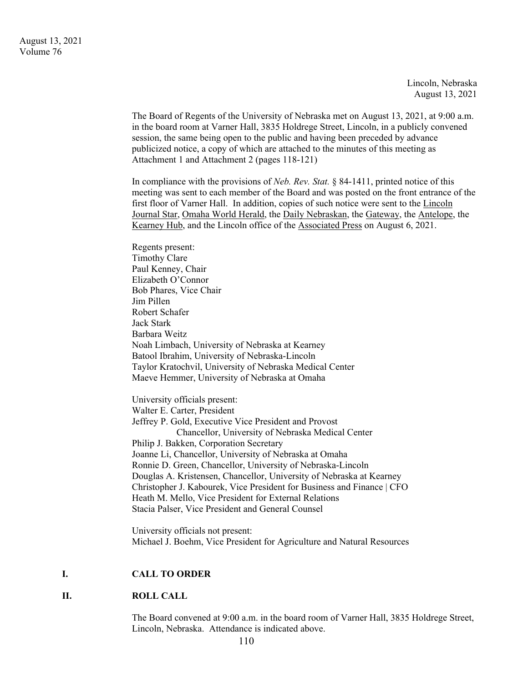Lincoln, Nebraska August 13, 2021

The Board of Regents of the University of Nebraska met on August 13, 2021, at 9:00 a.m. in the board room at Varner Hall, 3835 Holdrege Street, Lincoln, in a publicly convened session, the same being open to the public and having been preceded by advance publicized notice, a copy of which are attached to the minutes of this meeting as Attachment 1 and Attachment 2 (pages 118-121)

In compliance with the provisions of *Neb. Rev. Stat.* § 84-1411, printed notice of this meeting was sent to each member of the Board and was posted on the front entrance of the first floor of Varner Hall. In addition, copies of such notice were sent to the Lincoln Journal Star, Omaha World Herald, the Daily Nebraskan, the Gateway, the Antelope, the Kearney Hub, and the Lincoln office of the Associated Press on August 6, 2021.

Regents present: Timothy Clare Paul Kenney, Chair Elizabeth O'Connor Bob Phares, Vice Chair Jim Pillen Robert Schafer Jack Stark Barbara Weitz Noah Limbach, University of Nebraska at Kearney Batool Ibrahim, University of Nebraska-Lincoln Taylor Kratochvil, University of Nebraska Medical Center Maeve Hemmer, University of Nebraska at Omaha

University officials present: Walter E. Carter, President Jeffrey P. Gold, Executive Vice President and Provost Chancellor, University of Nebraska Medical Center Philip J. Bakken, Corporation Secretary Joanne Li, Chancellor, University of Nebraska at Omaha Ronnie D. Green, Chancellor, University of Nebraska-Lincoln Douglas A. Kristensen, Chancellor, University of Nebraska at Kearney Christopher J. Kabourek, Vice President for Business and Finance | CFO Heath M. Mello, Vice President for External Relations Stacia Palser, Vice President and General Counsel

University officials not present: Michael J. Boehm, Vice President for Agriculture and Natural Resources

#### **I. CALL TO ORDER**

#### **II. ROLL CALL**

The Board convened at 9:00 a.m. in the board room of Varner Hall, 3835 Holdrege Street, Lincoln, Nebraska. Attendance is indicated above.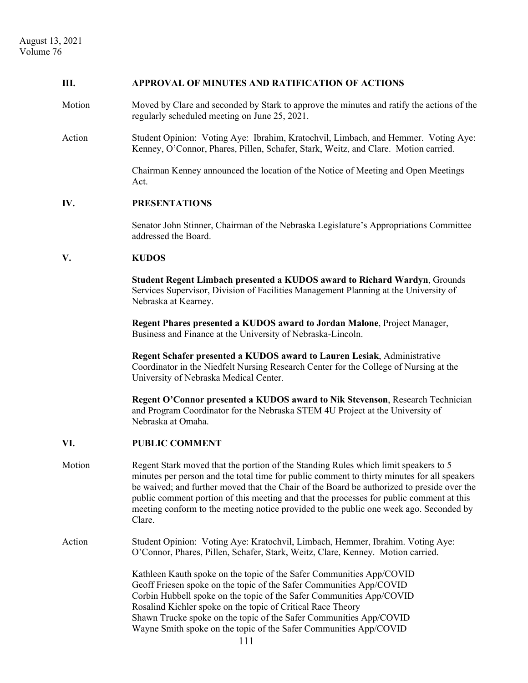#### **III. APPROVAL OF MINUTES AND RATIFICATION OF ACTIONS**

- Motion Moved by Clare and seconded by Stark to approve the minutes and ratify the actions of the regularly scheduled meeting on June 25, 2021.
- Action Student Opinion: Voting Aye: Ibrahim, Kratochvil, Limbach, and Hemmer. Voting Aye: Kenney, O'Connor, Phares, Pillen, Schafer, Stark, Weitz, and Clare. Motion carried.

 Chairman Kenney announced the location of the Notice of Meeting and Open Meetings Act.

#### **IV. PRESENTATIONS**

Senator John Stinner, Chairman of the Nebraska Legislature's Appropriations Committee addressed the Board.

#### **V. KUDOS**

**Student Regent Limbach presented a KUDOS award to Richard Wardyn**, Grounds Services Supervisor, Division of Facilities Management Planning at the University of Nebraska at Kearney.

**Regent Phares presented a KUDOS award to Jordan Malone**, Project Manager, Business and Finance at the University of Nebraska-Lincoln.

**Regent Schafer presented a KUDOS award to Lauren Lesiak**, Administrative Coordinator in the Niedfelt Nursing Research Center for the College of Nursing at the University of Nebraska Medical Center.

**Regent O'Connor presented a KUDOS award to Nik Stevenson**, Research Technician and Program Coordinator for the Nebraska STEM 4U Project at the University of Nebraska at Omaha.

#### **VI. PUBLIC COMMENT**

- Motion Regent Stark moved that the portion of the Standing Rules which limit speakers to 5 minutes per person and the total time for public comment to thirty minutes for all speakers be waived; and further moved that the Chair of the Board be authorized to preside over the public comment portion of this meeting and that the processes for public comment at this meeting conform to the meeting notice provided to the public one week ago. Seconded by Clare.
- Action Student Opinion: Voting Aye: Kratochvil, Limbach, Hemmer, Ibrahim. Voting Aye: O'Connor, Phares, Pillen, Schafer, Stark, Weitz, Clare, Kenney. Motion carried.

 Kathleen Kauth spoke on the topic of the Safer Communities App/COVID Geoff Friesen spoke on the topic of the Safer Communities App/COVID Corbin Hubbell spoke on the topic of the Safer Communities App/COVID Rosalind Kichler spoke on the topic of Critical Race Theory Shawn Trucke spoke on the topic of the Safer Communities App/COVID Wayne Smith spoke on the topic of the Safer Communities App/COVID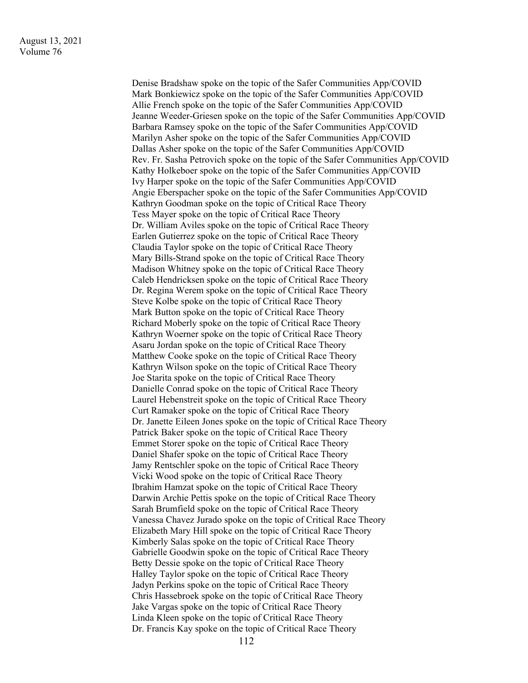Denise Bradshaw spoke on the topic of the Safer Communities App/COVID Mark Bonkiewicz spoke on the topic of the Safer Communities App/COVID Allie French spoke on the topic of the Safer Communities App/COVID Jeanne Weeder-Griesen spoke on the topic of the Safer Communities App/COVID Barbara Ramsey spoke on the topic of the Safer Communities App/COVID Marilyn Asher spoke on the topic of the Safer Communities App/COVID Dallas Asher spoke on the topic of the Safer Communities App/COVID Rev. Fr. Sasha Petrovich spoke on the topic of the Safer Communities App/COVID Kathy Holkeboer spoke on the topic of the Safer Communities App/COVID Ivy Harper spoke on the topic of the Safer Communities App/COVID Angie Eberspacher spoke on the topic of the Safer Communities App/COVID Kathryn Goodman spoke on the topic of Critical Race Theory Tess Mayer spoke on the topic of Critical Race Theory Dr. William Aviles spoke on the topic of Critical Race Theory Earlen Gutierrez spoke on the topic of Critical Race Theory Claudia Taylor spoke on the topic of Critical Race Theory Mary Bills-Strand spoke on the topic of Critical Race Theory Madison Whitney spoke on the topic of Critical Race Theory Caleb Hendricksen spoke on the topic of Critical Race Theory Dr. Regina Werem spoke on the topic of Critical Race Theory Steve Kolbe spoke on the topic of Critical Race Theory Mark Button spoke on the topic of Critical Race Theory Richard Moberly spoke on the topic of Critical Race Theory Kathryn Woerner spoke on the topic of Critical Race Theory Asaru Jordan spoke on the topic of Critical Race Theory Matthew Cooke spoke on the topic of Critical Race Theory Kathryn Wilson spoke on the topic of Critical Race Theory Joe Starita spoke on the topic of Critical Race Theory Danielle Conrad spoke on the topic of Critical Race Theory Laurel Hebenstreit spoke on the topic of Critical Race Theory Curt Ramaker spoke on the topic of Critical Race Theory Dr. Janette Eileen Jones spoke on the topic of Critical Race Theory Patrick Baker spoke on the topic of Critical Race Theory Emmet Storer spoke on the topic of Critical Race Theory Daniel Shafer spoke on the topic of Critical Race Theory Jamy Rentschler spoke on the topic of Critical Race Theory Vicki Wood spoke on the topic of Critical Race Theory Ibrahim Hamzat spoke on the topic of Critical Race Theory Darwin Archie Pettis spoke on the topic of Critical Race Theory Sarah Brumfield spoke on the topic of Critical Race Theory Vanessa Chavez Jurado spoke on the topic of Critical Race Theory Elizabeth Mary Hill spoke on the topic of Critical Race Theory Kimberly Salas spoke on the topic of Critical Race Theory Gabrielle Goodwin spoke on the topic of Critical Race Theory Betty Dessie spoke on the topic of Critical Race Theory Halley Taylor spoke on the topic of Critical Race Theory Jadyn Perkins spoke on the topic of Critical Race Theory Chris Hassebroek spoke on the topic of Critical Race Theory Jake Vargas spoke on the topic of Critical Race Theory Linda Kleen spoke on the topic of Critical Race Theory Dr. Francis Kay spoke on the topic of Critical Race Theory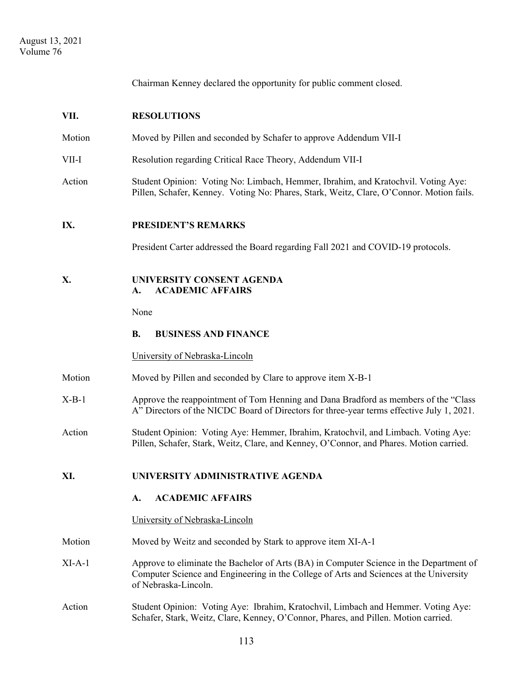Chairman Kenney declared the opportunity for public comment closed.

| VII.     | <b>RESOLUTIONS</b>                                                                                                                                                                                        |  |  |
|----------|-----------------------------------------------------------------------------------------------------------------------------------------------------------------------------------------------------------|--|--|
| Motion   | Moved by Pillen and seconded by Schafer to approve Addendum VII-I                                                                                                                                         |  |  |
| VII-I    | Resolution regarding Critical Race Theory, Addendum VII-I                                                                                                                                                 |  |  |
| Action   | Student Opinion: Voting No: Limbach, Hemmer, Ibrahim, and Kratochvil. Voting Aye:<br>Pillen, Schafer, Kenney. Voting No: Phares, Stark, Weitz, Clare, O'Connor. Motion fails.                             |  |  |
| IX.      | <b>PRESIDENT'S REMARKS</b>                                                                                                                                                                                |  |  |
|          | President Carter addressed the Board regarding Fall 2021 and COVID-19 protocols.                                                                                                                          |  |  |
| Х.       | UNIVERSITY CONSENT AGENDA<br><b>ACADEMIC AFFAIRS</b><br>A.                                                                                                                                                |  |  |
|          | None                                                                                                                                                                                                      |  |  |
|          | <b>B.</b><br><b>BUSINESS AND FINANCE</b>                                                                                                                                                                  |  |  |
|          | University of Nebraska-Lincoln                                                                                                                                                                            |  |  |
| Motion   | Moved by Pillen and seconded by Clare to approve item X-B-1                                                                                                                                               |  |  |
| $X-B-1$  | Approve the reappointment of Tom Henning and Dana Bradford as members of the "Class<br>A" Directors of the NICDC Board of Directors for three-year terms effective July 1, 2021.                          |  |  |
| Action   | Student Opinion: Voting Aye: Hemmer, Ibrahim, Kratochvil, and Limbach. Voting Aye:<br>Pillen, Schafer, Stark, Weitz, Clare, and Kenney, O'Connor, and Phares. Motion carried.                             |  |  |
| XI.      | UNIVERSITY ADMINISTRATIVE AGENDA                                                                                                                                                                          |  |  |
|          | <b>ACADEMIC AFFAIRS</b><br>A.                                                                                                                                                                             |  |  |
|          | University of Nebraska-Lincoln                                                                                                                                                                            |  |  |
| Motion   | Moved by Weitz and seconded by Stark to approve item XI-A-1                                                                                                                                               |  |  |
| $XI-A-1$ | Approve to eliminate the Bachelor of Arts (BA) in Computer Science in the Department of<br>Computer Science and Engineering in the College of Arts and Sciences at the University<br>of Nebraska-Lincoln. |  |  |
| Action   | Student Opinion: Voting Aye: Ibrahim, Kratochvil, Limbach and Hemmer. Voting Aye:<br>Schafer, Stark, Weitz, Clare, Kenney, O'Connor, Phares, and Pillen. Motion carried.                                  |  |  |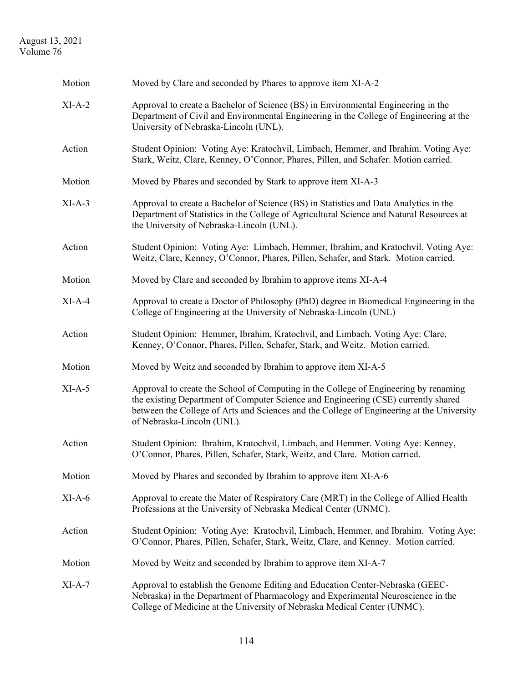## August 13, 2021 Volume 76

| Motion   | Moved by Clare and seconded by Phares to approve item XI-A-2                                                                                                                                                                                                                                          |
|----------|-------------------------------------------------------------------------------------------------------------------------------------------------------------------------------------------------------------------------------------------------------------------------------------------------------|
| $XI-A-2$ | Approval to create a Bachelor of Science (BS) in Environmental Engineering in the<br>Department of Civil and Environmental Engineering in the College of Engineering at the<br>University of Nebraska-Lincoln (UNL).                                                                                  |
| Action   | Student Opinion: Voting Aye: Kratochvil, Limbach, Hemmer, and Ibrahim. Voting Aye:<br>Stark, Weitz, Clare, Kenney, O'Connor, Phares, Pillen, and Schafer. Motion carried.                                                                                                                             |
| Motion   | Moved by Phares and seconded by Stark to approve item XI-A-3                                                                                                                                                                                                                                          |
| $XI-A-3$ | Approval to create a Bachelor of Science (BS) in Statistics and Data Analytics in the<br>Department of Statistics in the College of Agricultural Science and Natural Resources at<br>the University of Nebraska-Lincoln (UNL).                                                                        |
| Action   | Student Opinion: Voting Aye: Limbach, Hemmer, Ibrahim, and Kratochvil. Voting Aye:<br>Weitz, Clare, Kenney, O'Connor, Phares, Pillen, Schafer, and Stark. Motion carried.                                                                                                                             |
| Motion   | Moved by Clare and seconded by Ibrahim to approve items XI-A-4                                                                                                                                                                                                                                        |
| $XI-A-4$ | Approval to create a Doctor of Philosophy (PhD) degree in Biomedical Engineering in the<br>College of Engineering at the University of Nebraska-Lincoln (UNL)                                                                                                                                         |
| Action   | Student Opinion: Hemmer, Ibrahim, Kratochvil, and Limbach. Voting Aye: Clare,<br>Kenney, O'Connor, Phares, Pillen, Schafer, Stark, and Weitz. Motion carried.                                                                                                                                         |
| Motion   | Moved by Weitz and seconded by Ibrahim to approve item XI-A-5                                                                                                                                                                                                                                         |
| $XI-A-5$ | Approval to create the School of Computing in the College of Engineering by renaming<br>the existing Department of Computer Science and Engineering (CSE) currently shared<br>between the College of Arts and Sciences and the College of Engineering at the University<br>of Nebraska-Lincoln (UNL). |
| Action   | Student Opinion: Ibrahim, Kratochvil, Limbach, and Hemmer. Voting Aye: Kenney,<br>O'Connor, Phares, Pillen, Schafer, Stark, Weitz, and Clare. Motion carried.                                                                                                                                         |
| Motion   | Moved by Phares and seconded by Ibrahim to approve item XI-A-6                                                                                                                                                                                                                                        |
| $XI-A-6$ | Approval to create the Mater of Respiratory Care (MRT) in the College of Allied Health<br>Professions at the University of Nebraska Medical Center (UNMC).                                                                                                                                            |
| Action   | Student Opinion: Voting Aye: Kratochvil, Limbach, Hemmer, and Ibrahim. Voting Aye:<br>O'Connor, Phares, Pillen, Schafer, Stark, Weitz, Clare, and Kenney. Motion carried.                                                                                                                             |
| Motion   | Moved by Weitz and seconded by Ibrahim to approve item XI-A-7                                                                                                                                                                                                                                         |
| $XI-A-7$ | Approval to establish the Genome Editing and Education Center-Nebraska (GEEC-<br>Nebraska) in the Department of Pharmacology and Experimental Neuroscience in the<br>College of Medicine at the University of Nebraska Medical Center (UNMC).                                                         |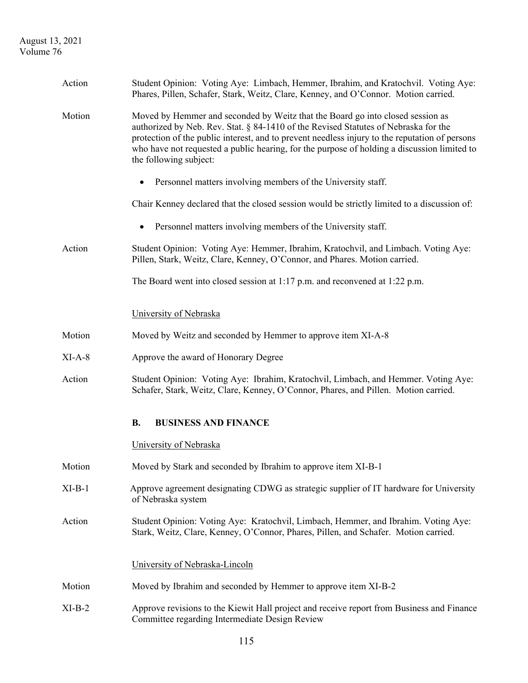August 13, 2021 Volume 76

| Action   | Student Opinion: Voting Aye: Limbach, Hemmer, Ibrahim, and Kratochvil. Voting Aye:<br>Phares, Pillen, Schafer, Stark, Weitz, Clare, Kenney, and O'Connor. Motion carried.                                                                                                                                                                                                                        |  |
|----------|--------------------------------------------------------------------------------------------------------------------------------------------------------------------------------------------------------------------------------------------------------------------------------------------------------------------------------------------------------------------------------------------------|--|
| Motion   | Moved by Hemmer and seconded by Weitz that the Board go into closed session as<br>authorized by Neb. Rev. Stat. § 84-1410 of the Revised Statutes of Nebraska for the<br>protection of the public interest, and to prevent needless injury to the reputation of persons<br>who have not requested a public hearing, for the purpose of holding a discussion limited to<br>the following subject: |  |
|          | Personnel matters involving members of the University staff.                                                                                                                                                                                                                                                                                                                                     |  |
|          | Chair Kenney declared that the closed session would be strictly limited to a discussion of:                                                                                                                                                                                                                                                                                                      |  |
|          | Personnel matters involving members of the University staff.<br>٠                                                                                                                                                                                                                                                                                                                                |  |
| Action   | Student Opinion: Voting Aye: Hemmer, Ibrahim, Kratochvil, and Limbach. Voting Aye:<br>Pillen, Stark, Weitz, Clare, Kenney, O'Connor, and Phares. Motion carried.                                                                                                                                                                                                                                 |  |
|          | The Board went into closed session at 1:17 p.m. and reconvened at 1:22 p.m.                                                                                                                                                                                                                                                                                                                      |  |
|          | University of Nebraska                                                                                                                                                                                                                                                                                                                                                                           |  |
| Motion   | Moved by Weitz and seconded by Hemmer to approve item XI-A-8                                                                                                                                                                                                                                                                                                                                     |  |
| $XI-A-8$ | Approve the award of Honorary Degree                                                                                                                                                                                                                                                                                                                                                             |  |
| Action   | Student Opinion: Voting Aye: Ibrahim, Kratochvil, Limbach, and Hemmer. Voting Aye:<br>Schafer, Stark, Weitz, Clare, Kenney, O'Connor, Phares, and Pillen. Motion carried.                                                                                                                                                                                                                        |  |
|          | <b>BUSINESS AND FINANCE</b><br><b>B.</b>                                                                                                                                                                                                                                                                                                                                                         |  |
|          | University of Nebraska                                                                                                                                                                                                                                                                                                                                                                           |  |
| Motion   | Moved by Stark and seconded by Ibrahim to approve item XI-B-1                                                                                                                                                                                                                                                                                                                                    |  |
| $XI-B-1$ | Approve agreement designating CDWG as strategic supplier of IT hardware for University<br>of Nebraska system                                                                                                                                                                                                                                                                                     |  |
| Action   | Student Opinion: Voting Aye: Kratochvil, Limbach, Hemmer, and Ibrahim. Voting Aye:<br>Stark, Weitz, Clare, Kenney, O'Connor, Phares, Pillen, and Schafer. Motion carried.                                                                                                                                                                                                                        |  |
|          | University of Nebraska-Lincoln                                                                                                                                                                                                                                                                                                                                                                   |  |
| Motion   | Moved by Ibrahim and seconded by Hemmer to approve item XI-B-2                                                                                                                                                                                                                                                                                                                                   |  |
| $XI-B-2$ | Approve revisions to the Kiewit Hall project and receive report from Business and Finance<br>Committee regarding Intermediate Design Review                                                                                                                                                                                                                                                      |  |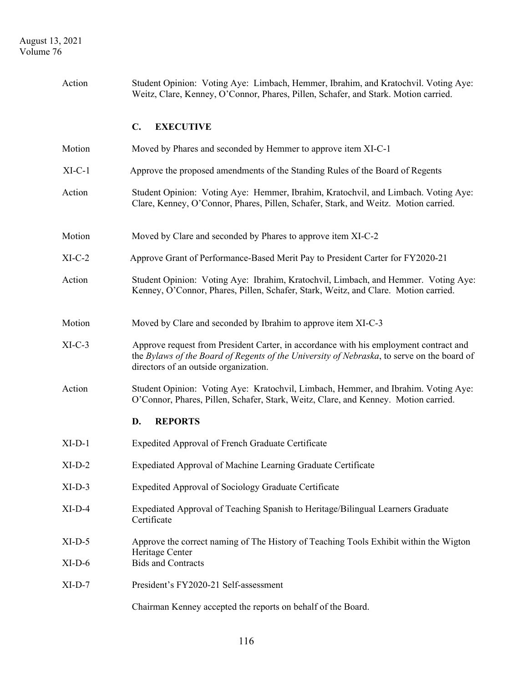| Action   | Student Opinion: Voting Aye: Limbach, Hemmer, Ibrahim, and Kratochvil. Voting Aye:<br>Weitz, Clare, Kenney, O'Connor, Phares, Pillen, Schafer, and Stark. Motion carried.                                                    |  |  |
|----------|------------------------------------------------------------------------------------------------------------------------------------------------------------------------------------------------------------------------------|--|--|
|          | $\mathbf{C}$ .<br><b>EXECUTIVE</b>                                                                                                                                                                                           |  |  |
| Motion   | Moved by Phares and seconded by Hemmer to approve item XI-C-1                                                                                                                                                                |  |  |
| $XI-C-1$ | Approve the proposed amendments of the Standing Rules of the Board of Regents                                                                                                                                                |  |  |
| Action   | Student Opinion: Voting Aye: Hemmer, Ibrahim, Kratochvil, and Limbach. Voting Aye:<br>Clare, Kenney, O'Connor, Phares, Pillen, Schafer, Stark, and Weitz. Motion carried.                                                    |  |  |
| Motion   | Moved by Clare and seconded by Phares to approve item XI-C-2                                                                                                                                                                 |  |  |
| $XI-C-2$ | Approve Grant of Performance-Based Merit Pay to President Carter for FY2020-21                                                                                                                                               |  |  |
| Action   | Student Opinion: Voting Aye: Ibrahim, Kratochvil, Limbach, and Hemmer. Voting Aye:<br>Kenney, O'Connor, Phares, Pillen, Schafer, Stark, Weitz, and Clare. Motion carried.                                                    |  |  |
| Motion   | Moved by Clare and seconded by Ibrahim to approve item XI-C-3                                                                                                                                                                |  |  |
| $XI-C-3$ | Approve request from President Carter, in accordance with his employment contract and<br>the Bylaws of the Board of Regents of the University of Nebraska, to serve on the board of<br>directors of an outside organization. |  |  |
| Action   | Student Opinion: Voting Aye: Kratochvil, Limbach, Hemmer, and Ibrahim. Voting Aye:<br>O'Connor, Phares, Pillen, Schafer, Stark, Weitz, Clare, and Kenney. Motion carried.                                                    |  |  |
|          | D.<br><b>REPORTS</b>                                                                                                                                                                                                         |  |  |
| $XI-D-1$ | Expedited Approval of French Graduate Certificate                                                                                                                                                                            |  |  |
| $XI-D-2$ | Expediated Approval of Machine Learning Graduate Certificate                                                                                                                                                                 |  |  |
| $XI-D-3$ | Expedited Approval of Sociology Graduate Certificate                                                                                                                                                                         |  |  |
| $XI-D-4$ | Expediated Approval of Teaching Spanish to Heritage/Bilingual Learners Graduate<br>Certificate                                                                                                                               |  |  |
| $XI-D-5$ | Approve the correct naming of The History of Teaching Tools Exhibit within the Wigton<br>Heritage Center                                                                                                                     |  |  |
| $XI-D-6$ | <b>Bids and Contracts</b>                                                                                                                                                                                                    |  |  |
| $XI-D-7$ | President's FY2020-21 Self-assessment                                                                                                                                                                                        |  |  |
|          | Chairman Kenney accepted the reports on behalf of the Board.                                                                                                                                                                 |  |  |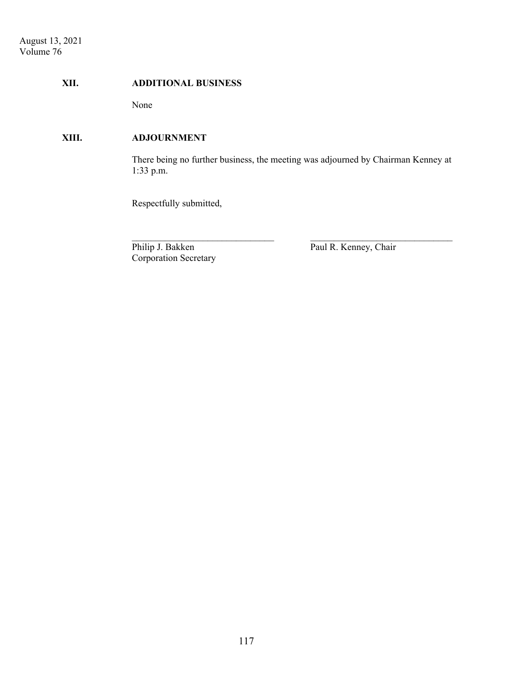#### **XII. ADDITIONAL BUSINESS**

None

## **XIII. ADJOURNMENT**

 There being no further business, the meeting was adjourned by Chairman Kenney at 1:33 p.m.

 $\mathcal{L}_\text{max}$  and the contract of the contract of the contract of the contract of the contract of the contract of

Respectfully submitted,

Philip J. Bakken Paul R. Kenney, Chair Corporation Secretary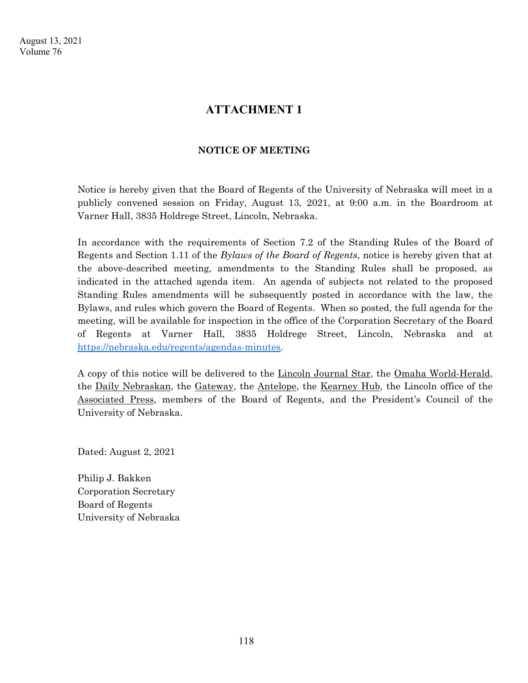# **ATTACHMENT 1**

## **NOTICE OF MEETING**

Notice is hereby given that the Board of Regents of the University of Nebraska will meet in a publicly convened session on Friday, August 13, 2021, at 9:00 a.m. in the Boardroom at Varner Hall, 3835 Holdrege Street, Lincoln, Nebraska.

In accordance with the requirements of Section 7.2 of the Standing Rules of the Board of Regents and Section 1.11 of the *Bylaws of the Board of Regents*, notice is hereby given that at the above-described meeting, amendments to the Standing Rules shall be proposed, as indicated in the attached agenda item. An agenda of subjects not related to the proposed Standing Rules amendments will be subsequently posted in accordance with the law, the Bylaws, and rules which govern the Board of Regents. When so posted, the full agenda for the meeting, will be available for inspection in the office of the Corporation Secretary of the Board of Regents at Varner Hall, 3835 Holdrege Street, Lincoln, Nebraska and at https://nebraska.edu/regents/agendas-minutes.

A copy of this notice will be delivered to the Lincoln Journal Star, the Omaha World-Herald, the Daily Nebraskan, the Gateway, the Antelope, the Kearney Hub, the Lincoln office of the Associated Press, members of the Board of Regents, and the President's Council of the University of Nebraska.

Dated: August 2, 2021

Philip J. Bakken Corporation Secretary Board of Regents University of Nebraska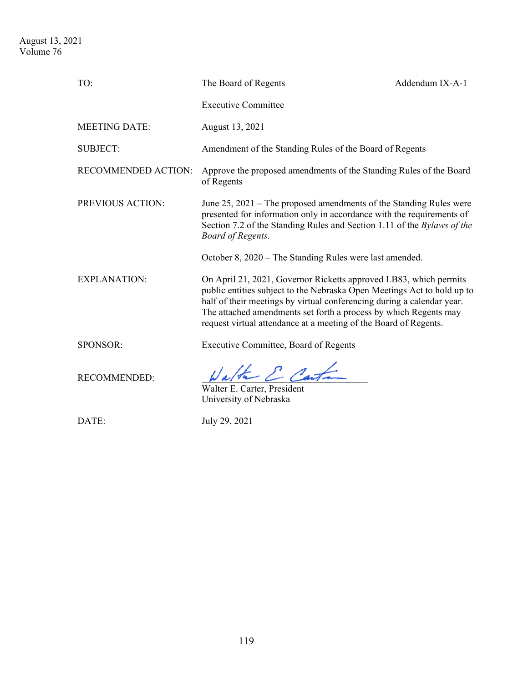| TO:                  | The Board of Regents                                                                                                                                                                                                                                                                                                                                           | Addendum IX-A-1 |
|----------------------|----------------------------------------------------------------------------------------------------------------------------------------------------------------------------------------------------------------------------------------------------------------------------------------------------------------------------------------------------------------|-----------------|
|                      | <b>Executive Committee</b>                                                                                                                                                                                                                                                                                                                                     |                 |
| <b>MEETING DATE:</b> | August 13, 2021                                                                                                                                                                                                                                                                                                                                                |                 |
| <b>SUBJECT:</b>      | Amendment of the Standing Rules of the Board of Regents                                                                                                                                                                                                                                                                                                        |                 |
| RECOMMENDED ACTION:  | Approve the proposed amendments of the Standing Rules of the Board<br>of Regents                                                                                                                                                                                                                                                                               |                 |
| PREVIOUS ACTION:     | June $25$ , $2021$ – The proposed amendments of the Standing Rules were<br>presented for information only in accordance with the requirements of<br>Section 7.2 of the Standing Rules and Section 1.11 of the Bylaws of the<br><b>Board of Regents.</b>                                                                                                        |                 |
|                      | October 8, 2020 - The Standing Rules were last amended.                                                                                                                                                                                                                                                                                                        |                 |
| <b>EXPLANATION:</b>  | On April 21, 2021, Governor Ricketts approved LB83, which permits<br>public entities subject to the Nebraska Open Meetings Act to hold up to<br>half of their meetings by virtual conferencing during a calendar year.<br>The attached amendments set forth a process by which Regents may<br>request virtual attendance at a meeting of the Board of Regents. |                 |
| SPONSOR:             | Executive Committee, Board of Regents                                                                                                                                                                                                                                                                                                                          |                 |
| <b>RECOMMENDED:</b>  | Walter & Carta<br>Walter E. Carter, President<br>University of Nebraska                                                                                                                                                                                                                                                                                        |                 |
| DATE:                | July 29, 2021                                                                                                                                                                                                                                                                                                                                                  |                 |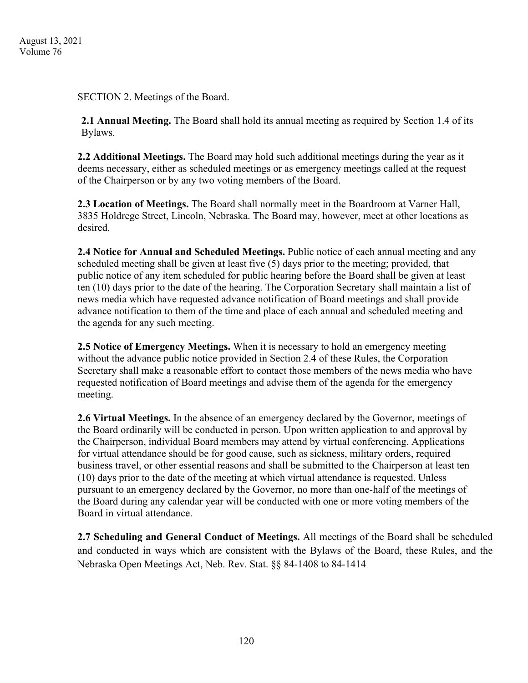SECTION 2. Meetings of the Board.

**2.1 Annual Meeting.** The Board shall hold its annual meeting as required by Section 1.4 of its Bylaws.

**2.2 Additional Meetings.** The Board may hold such additional meetings during the year as it deems necessary, either as scheduled meetings or as emergency meetings called at the request of the Chairperson or by any two voting members of the Board.

**2.3 Location of Meetings.** The Board shall normally meet in the Boardroom at Varner Hall, 3835 Holdrege Street, Lincoln, Nebraska. The Board may, however, meet at other locations as desired.

**2.4 Notice for Annual and Scheduled Meetings.** Public notice of each annual meeting and any scheduled meeting shall be given at least five (5) days prior to the meeting; provided, that public notice of any item scheduled for public hearing before the Board shall be given at least ten (10) days prior to the date of the hearing. The Corporation Secretary shall maintain a list of news media which have requested advance notification of Board meetings and shall provide advance notification to them of the time and place of each annual and scheduled meeting and the agenda for any such meeting.

**2.5 Notice of Emergency Meetings.** When it is necessary to hold an emergency meeting without the advance public notice provided in Section 2.4 of these Rules, the Corporation Secretary shall make a reasonable effort to contact those members of the news media who have requested notification of Board meetings and advise them of the agenda for the emergency meeting.

**2.6 Virtual Meetings.** In the absence of an emergency declared by the Governor, meetings of the Board ordinarily will be conducted in person. Upon written application to and approval by the Chairperson, individual Board members may attend by virtual conferencing. Applications for virtual attendance should be for good cause, such as sickness, military orders, required business travel, or other essential reasons and shall be submitted to the Chairperson at least ten (10) days prior to the date of the meeting at which virtual attendance is requested. Unless pursuant to an emergency declared by the Governor, no more than one-half of the meetings of the Board during any calendar year will be conducted with one or more voting members of the Board in virtual attendance.

**2.7 Scheduling and General Conduct of Meetings.** All meetings of the Board shall be scheduled and conducted in ways which are consistent with the Bylaws of the Board, these Rules, and the Nebraska Open Meetings Act, Neb. Rev. Stat. §§ 84-1408 to 84-1414